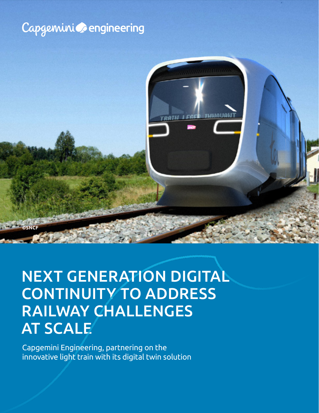### Capgemini **C**engineering



## CONTINUITY TO ADDRESS AT SCALE NEXT GENERATION DIGITAL RAILWAY CHALLENGES

Capgemini Engineering, partnering on the innovative light train with its digital twin solution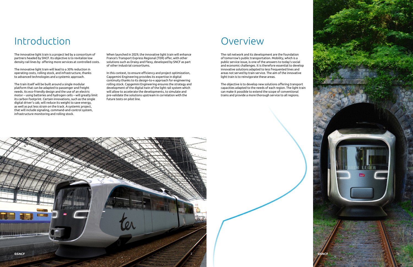## Introduction

The innovative light train is a project led by a consortium of partners headed by SNCF. Its objective is to revitalize low density rail lines by offering more services at controlled costs.

The innovative light train will lead to a 30% reduction in operating costs, rolling stock, and infrastructure, thanks to advanced technologies and a systemic approach.

The train itself will be built around a single modular platform that can be adapted to passenger and freight needs. Its eco-friendly design and the use of an electric motor – using batteries and hydrogen cells – will greatly limit its carbon footprint. Certain innovations, such as the single digital driver's cab, will reduce its weight to save energy, as well as put less strain on the track. A systemic project, that will include signaling, command-and-control system, infrastructure monitoring and rolling stock.

When launched in 2029, the innovative light train will enhance France's Transport Express Regional (TER) offer, with other solutions such as Draisy and Flexy, developed by SNCF as part of other industrial consortiums.





In this context, to ensure efficiency and project optimization, Capgemini Engineering provides its expertise in digital continuity thanks to its design-to-x approach for engineering rolling stock. Capgemini Engineering ensures the strategy and development of the digital twin of the light rail system which will allow to accelerate the developments, to simulate and pre-validate the solutions upstream in correlation with the future tests on pilot line.

### **Overview**

The rail network and its development are the foundation of tomorrow's public transportation. Mobility, which is a public service issue, is one of the answers to today's social and economic challenges. It is therefore essential to develop innovative solutions adapted to less frequented lines and areas not served by train service. The aim of the innovative light train is to reinvigorate these areas.

The objective is to develop new solutions offering transport capacities adapted to the needs of each region. The light train can make it possible to extend the scope of conventional trains and provide a more thorough service to all regions.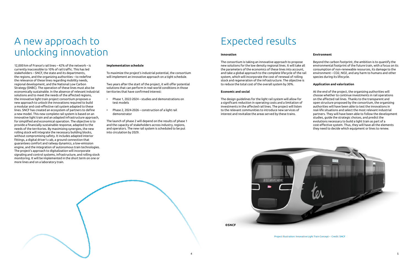# A new approach to unlocking innovation

12,000 km of France's rail lines – 42% of the network – is currently inaccessible to 10% of rail traffic. This has led stakeholders – SNCF, the state and its departments, the regions, and the organizing authorities – to redefine the relevance of these lines regarding mobility needs, regional development, and the National Low Carbon Strategy (SNBC). The operation of these lines must also be economically sustainable. In the absence of relevant industrial solutions and to meet the needs of the affected regions, the innovative light train project consortium proposes a new approach to unlock the innovations required to build a modular and cost-effective rail system adapted to these lines. SNCF has created an ecosystem of partners to define a new model. This new complete rail system is based on an innovative light train and an adapted infrastructure approach, for simplified and economical operation. The objective is to provide a financially sustainable response, adapted to the needs of the territories. By maximizing synergies, the new rolling stock will integrate the necessary building blocks, without compromising safety. It includes adapted interior fittings, a digital driver's cab, a ground connection that guarantees comfort and railway dynamics, a low-emission engine, and the integration of autonomous train technologies. The project's approach to digitalization will incorporate signaling and control systems, infrastructure, and rolling stock monitoring. It will be implemented in the short term on one or more lines and on a laboratory train.

#### **Implementation schedule**

To maximize the project's industrial potential, the consortium will implement an innovative approach on a tight schedule.

Two years after the start of the project, it will offer potential solutions that can perform in real-world conditions in those territories that have confirmed interest:

- Phase 1, 2022-2024 studies and demonstrations on test models
- Phase 2, 2024-2026 construction of a light rail demonstrator

The launch of phase 2 will depend on the results of phase 1 and the capacity of stakeholders across industry, regions, and operators. The new rail system is scheduled to be put into circulation by 2029.

## Expected results

#### **Innovation**

#### **Economic and social**

The consortium is taking an innovative approach to propose new solutions for the low density regional lines. It will take all the parameters of the economics of these lines into account, and take a global approach to the complete lifecycle of the rail system, which will incorporate the cost of renewal of rolling stock and regeneration of the infrastructure. The objective is to reduce the total cost of the overall system by 30%. Beyond the carbon footprint, the ambition is to quantify the environmental footprint of the future train, with a focus on its consumption of non-renewable resources, its damage to the environment – CO2, NO2, and any harm to humans and other species during its lifecycle. **Application and valorization**

The design guidelines for the light rail system will allow for a significant reduction in operating costs and a limitation of investments in the affected rail lines. The project will listen to the relevant communities to introduce new services of interest and revitalize the areas served by these trains.



### **Environment**

At the end of the project, the organizing authorities will choose whether to continue investments in rail operations on the affected rail lines. Thanks to the transparent and open structure proposed by the consortium, the organizing authorities will have been able to test the innovations in real-life situations and select the most relevant industrial partners. They will have been able to follow the development studies, guide the strategic choices, and predict the evolutions necessary to build a light train as part of a cost-effective system. Thus, they will have all the elements they need to decide which equipment or lines to renew.

Project illustration: Innovative Light Train Concept – Credit: SNCF

**©SNCF**